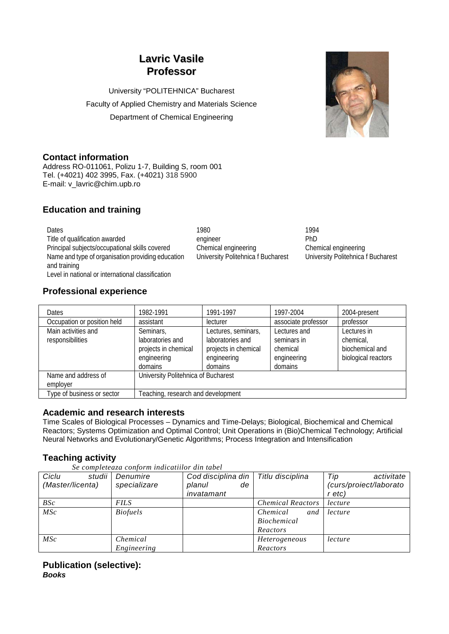# **Lavric Vasile Professor**

University "POLITEHNICA" Bucharest Faculty of Applied Chemistry and Materials Science Department of Chemical Engineering



### **Contact information**

Address RO-011061, Polizu 1-7, Building S, room 001 Tel. (+4021) 402 3995, Fax. (+4021) 318 5900 E-mail: v\_lavric@chim.upb.ro

## **Education and training**

Dates 1980 1994 Title of qualification awarded engineer engineer PhD Principal subjects/occupational skills covered Chemical engineering Chemical engineering Name and type of organisation providing education and training Level in national or international classification

University Politehnica f Bucharest University Politehnica f Bucharest

### **Professional experience**

| <b>Dates</b>                | 1982-1991                           | 1991-1997            | 1997-2004           | 2004-present        |  |
|-----------------------------|-------------------------------------|----------------------|---------------------|---------------------|--|
| Occupation or position held | assistant                           | lecturer             | associate professor | professor           |  |
| Main activities and         | Seminars,                           | Lectures, seminars,  | Lectures and        | Lectures in         |  |
| responsibilities            | laboratories and                    | laboratories and     | seminars in         | chemical,           |  |
|                             | projects in chemical                | projects in chemical | chemical            | biochemical and     |  |
|                             | engineering                         | engineering          | engineering         | biological reactors |  |
|                             | domains                             | domains              | domains             |                     |  |
| Name and address of         | University Politehnica of Bucharest |                      |                     |                     |  |
| employer                    |                                     |                      |                     |                     |  |
| Type of business or sector  | Feaching, research and development  |                      |                     |                     |  |

### **Academic and research interests**

Time Scales of Biological Processes – Dynamics and Time-Delays; Biological, Biochemical and Chemical Reactors; Systems Optimization and Optimal Control; Unit Operations in (Bio)Chemical Technology; Artificial Neural Networks and Evolutionary/Genetic Algorithms; Process Integration and Intensification

### **Teaching activity**

| Se completeaza conform indicatiilor din tabel |  |                   |                               |      |  |  |  |
|-----------------------------------------------|--|-------------------|-------------------------------|------|--|--|--|
| Ciclu                                         |  | studii   Denumire | Cod disciplina din   Titlu di |      |  |  |  |
| (Master/licenta)                              |  | specializare      | planul                        | de l |  |  |  |

| studii<br>Ciclu<br>(Master/licenta) | Denumire<br>specializare | Cod disciplina din<br>planul<br>de<br>invatamant | Titlu disciplina         | Tip<br>activitate<br>(curs/proiect/laborato<br>r etc) |
|-------------------------------------|--------------------------|--------------------------------------------------|--------------------------|-------------------------------------------------------|
| BSc                                 | FILS                     |                                                  | <b>Chemical Reactors</b> | lecture                                               |
| MSc                                 | <b>Biofuels</b>          |                                                  | Chemical<br>and          | lecture                                               |
|                                     |                          |                                                  | <b>Biochemical</b>       |                                                       |
|                                     |                          |                                                  | Reactors                 |                                                       |
| $\mathit{MSC}$                      | Chemical                 |                                                  | <i>Heterogeneous</i>     | lecture                                               |
|                                     | Engineering              |                                                  | Reactors                 |                                                       |
|                                     |                          |                                                  |                          |                                                       |

#### **Publication (selective):** *Books*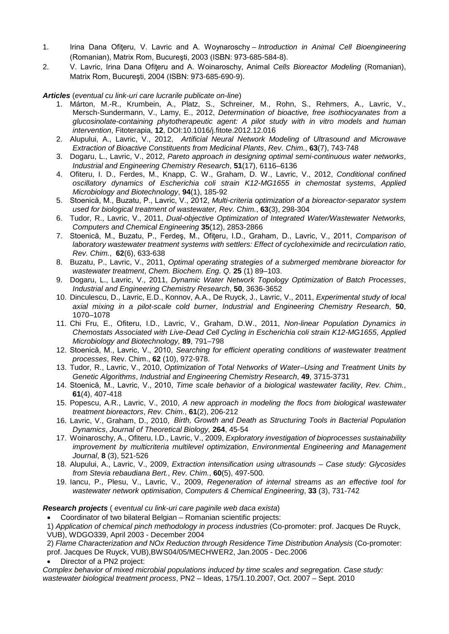- 1. Irina Dana Ofiteru, V. Lavric and A. Woynaroschy *Introduction in Animal Cell Bioengineering* (Romanian), Matrix Rom, Bucureşti, 2003 (ISBN: 973-685-584-8).
- 2. V. Lavric, Irina Dana Ofiţeru and A. Woinaroschy, Animal *Cells Bioreactor Modeling* (Romanian), Matrix Rom, Bucureşti, 2004 (ISBN: 973-685-690-9).

#### *Articles* (*eventual cu link-uri care lucrarile publicate on-line*)

- 1. Márton, M.-R., Krumbein, A., Platz, S., Schreiner, M., Rohn, S., Rehmers, A., Lavric, V., Mersch-Sundermann, V., Lamy, E., 2012, *Determination of bioactive, free isothiocyanates from a glucosinolate-containing phytotherapeutic agent: A pilot study with in vitro models and human intervention*, Fitoterapia, **12**, DOI:10.1016/j.fitote.2012.12.016
- 2. Alupului, A., Lavric, V., 2012, *Artificial Neural Network Modeling of Ultrasound and Microwave Extraction of Bioactive Constituents from Medicinal Plants*, *Rev. Chim.*, **63**(7), 743-748
- 3. Dogaru, L., Lavric, V., 2012, *Pareto approach in designing optimal semi-continuous water networks*, *Industrial and Engineering Chemistry Research*, **51**(17), 6116–6136
- 4. Ofiteru, I. D., Ferdes, M., Knapp, C. W., Graham, D. W., Lavric, V., 2012, *Conditional confined oscillatory dynamics of Escherichia coli strain K12-MG1655 in chemostat systems*, *Applied Microbiology and Biotechnology*, **94**(1), 185-92
- 5. Stoenică, M., Buzatu, P., Lavric, V., 2012, *Multi-criteria optimization of a bioreactor-separator system used for biological treatment of wastewater, Rev. Chim.*, **63**(3), 298-304
- 6. Tudor, R., Lavric, V., 2011, *Dual-objective Optimization of Integrated Water/Wastewater Networks, Computers and Chemical Engineering* **35**(12), 2853-2866
- 7. Stoenică, M., Buzatu, P., Ferdeş, M., Ofiţeru, I.D., Graham, D., Lavric, V., 2011, *Comparison of laboratory wastewater treatment systems with settlers: Effect of cycloheximide and recirculation ratio*, *Rev. Chim.*, **62**(6), 633-638
- 8. Buzatu, P., Lavric, V., 2011, *Optimal operating strategies of a submerged membrane bioreactor for wastewater treatment*, *Chem. Biochem. Eng. Q.* **25** (1) 89–103.
- 9. Dogaru, L., Lavric, V., 2011, *Dynamic Water Network Topology Optimization of Batch Processes*, *Industrial and Engineering Chemistry Research*, **50**, 3636-3652
- 10. Dinculescu, D., Lavric, E.D., Konnov, A.A., De Ruyck, J., Lavric, V., 2011, *Experimental study of local axial mixing in a pilot-scale cold burner*, *Industrial and Engineering Chemistry Research*, **50**, 1070–1078
- 11. Chi Fru, E., Ofiteru, I.D., Lavric, V., Graham, D.W., 2011, *Non-linear Population Dynamics in Chemostats Associated with Live-Dead Cell Cycling in Escherichia coli strain K12-MG1655*, *Applied Microbiology and Biotechnology,* **89**, 791–798
- 12. Stoenică, M., Lavric, V., 2010, *Searching for efficient operating conditions of wastewater treatment processes*, Rev. Chim., **62** (10), 972-978.
- 13. Tudor, R., Lavric, V., 2010, *Optimization of Total Networks of Water–Using and Treatment Units by Genetic Algorithms*, *Industrial and Engineering Chemistry Research*, **49**, 3715-3731
- 14. Stoenică, M., Lavric, V., 2010, *Time scale behavior of a biological wastewater facility*, *Rev. Chim.*, **61**(4), 407-418
- 15. Popescu, A.R., Lavric, V., 2010, *A new approach in modeling the flocs from biological wastewater treatment bioreactors*, *Rev. Chim.*, **61**(2), 206-212
- 16. Lavric, V., Graham, D., 2010, *Birth, Growth and Death as Structuring Tools in Bacterial Population Dynamics*, *Journal of Theoretical Biology,* **264**, 45-54
- 17. Woinaroschy, A., Ofiteru, I.D., Lavric, V., 2009, *Exploratory investigation of bioprocesses sustainability improvement by multicriteria multilevel optimization*, *Environmental Engineering and Management Journal*, **8** (3), 521-526
- 18. Alupului, A., Lavric, V., 2009, *Extraction intensification using ultrasounds – Case study: Glycosides from Stevia rebaudiana Bert.*, *Rev. Chim.*, **60**(5), 497-500.
- 19. Iancu, P., Plesu, V., Lavric, V., 2009, *Regeneration of internal streams as an effective tool for wastewater network optimisation*, *Computers & Chemical Engineering*, **33** (3), 731-742

#### *Research projects* ( *eventual cu link-uri care paginile web daca exista*)

• Coordinator of two bilateral Belgian – Romanian scientific projects:

1) *Application of chemical pinch methodology in process industries* (Co-promoter: prof. Jacques De Ruyck, VUB), WDGO339, April 2003 - December 2004

2) *Flame Characterization and NOx Reduction through Residence Time Distribution Analysis* (Co-promoter: prof. Jacques De Ruyck, VUB),BWS04/05/MECHWER2, Jan.2005 - Dec.2006

• Director of a PN2 project:

*Complex behavior of mixed microbial populations induced by time scales and segregation. Case study: wastewater biological treatment process*, PN2 – Ideas, 175/1.10.2007, Oct. 2007 – Sept. 2010